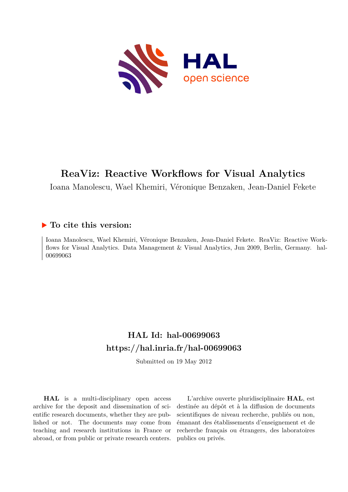

# **ReaViz: Reactive Workflows for Visual Analytics**

Ioana Manolescu, Wael Khemiri, Véronique Benzaken, Jean-Daniel Fekete

### **To cite this version:**

Ioana Manolescu, Wael Khemiri, Véronique Benzaken, Jean-Daniel Fekete. ReaViz: Reactive Workflows for Visual Analytics. Data Management & Visual Analytics, Jun 2009, Berlin, Germany. hal-00699063

## **HAL Id: hal-00699063 <https://hal.inria.fr/hal-00699063>**

Submitted on 19 May 2012

**HAL** is a multi-disciplinary open access archive for the deposit and dissemination of scientific research documents, whether they are published or not. The documents may come from teaching and research institutions in France or abroad, or from public or private research centers.

L'archive ouverte pluridisciplinaire **HAL**, est destinée au dépôt et à la diffusion de documents scientifiques de niveau recherche, publiés ou non, émanant des établissements d'enseignement et de recherche français ou étrangers, des laboratoires publics ou privés.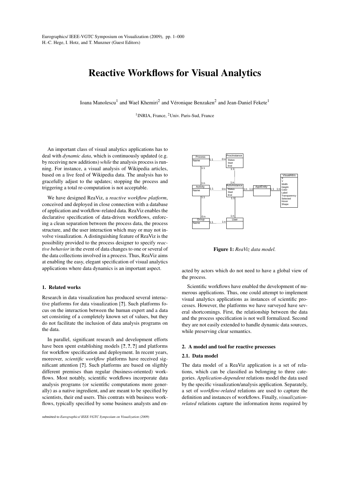### Reactive Workflows for Visual Analytics

Ioana Manolescu<sup>1</sup> and Wael Khemiri<sup>2</sup> and Véronique Benzaken<sup>2</sup> and Jean-Daniel Fekete<sup>1</sup>

<sup>1</sup> INRIA, France, <sup>2</sup> Univ. Paris-Sud, France

An important class of visual analytics applications has to deal with *dynamic data*, which is continuously updated (e.g. by receiving new additions) *while* the analysis process is running. For instance, a visual analysis of Wikipedia articles, based on a live feed of Wikipedia data. The analysis has to gracefully adjust to the updates; stopping the process and triggering a total re-computation is not acceptable.

We have designed ReaViz, a *reactive workflow platform*, conceived and deployed in close connection with a database of application and workflow-related data. ReaViz enables the declarative specification of data-driven workflows, enforcing a clean separation between the process data, the process structure, and the user interaction which may or may not involve visualization. A distinguishing feature of ReaViz is the possibility provided to the process designer to specify *reactive behavior* in the event of data changes to one or several of the data collections involved in a process. Thus, ReaViz aims at enabling the easy, elegant specification of visual analytics applications where data dynamics is an important aspect.

#### 1. Related works

Research in data visualization has produced several interactive platforms for data visualization [?]. Such platforms focus on the interaction between the human expert and a data set consisting of a completely known set of values, but they do not facilitate the inclusion of data analysis programs on the data.

In parallel, significant research and development efforts have been spent establishing models [?, ?, ?] and platforms for workflow specification and deployment. In recent years, moreover, *scientific workflow* platforms have received significant attention [?]. Such platforms are based on sligthly different premises than regular (business-oriented) workflows. Most notably, scientific workflows incorporate data analysis programs (or scientific computations more generally) as a native ingredient, and are meant to be specified by scientists, their end users. This contrats with business workflows, typically specified by some business analysts and en-



Figure 1: *ReaViz data model.*

acted by actors which do not need to have a global view of the process.

Scientific workflows have enabled the development of numerous applications. Thus, one could attempt to implement visual analytics applications as instances of scientific processes. However, the platforms we have surveyed have several shortcomings. First, the relationship between the data and the process specification is not well formalized. Second they are not easily extended to handle dynamic data sources, while preserving clear semantics.

#### 2. A model and tool for reactive processes

#### 2.1. Data model

The data model of a ReaViz application is a set of relations, which can be classified as belonging to three categories. *Application-dependent* relations model the data used by the specific visualization/analysis application. Separately, a set of *workflow-related* relations are used to capture the definition and instances of workflows. Finally, *visualizationrelated* relations capture the information items required by